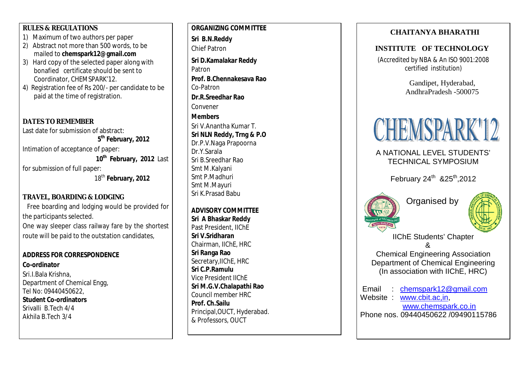### **RULES & REGULATIONS**

- 1) Maximum of two authors per paper
- 2) Abstract not more than 500 words, to be mailed to **chemspark12@gmail.com**
- 3) Hard copy of the selected paper along with bonafied certificate should be sent to Coordinator, CHEMSPARK'12.
- 4) Registration fee of Rs 200/ per candidate to be paid at the time of registration.

## **DATES TO REMEMBER**

Last date for submission of abstract: **5 th February, 2012** Intimation of acceptance of paper: **10th February, 2012** Last for submission of full paper: 18th **February, 2012**

## **TRAVEL, BOARDING & LODGING**

Free boarding and lodging would be provided for the participants selected. One way sleeper class railway fare by the shortest route will be paid to the outstation candidates,

### **ADDRESS FOR CORRESPONDENCE**

**Co -ordinator** Sri.I.Bala Krishna, Department of Chemical Engg, Tel No: 09440450622, **Student Co -ordinators** Srivalli B.Tech 4/4 Akhila B.Tech 3/4

**ORGANIZING COMMI TTEE Sri B.N.Reddy** Chief Patron **Sri D.Kamalakar Reddy** Patron **Prof. B.Chennakesava Rao** Co -Patron **Dr.R.Sreedhar Rao** Convener **Members** Sri V.Anantha Kumar T. **Sri NLN Reddy, Trng & P.O** Dr.P.V.Naga Prapoorna Dr.Y.Sarala Sri B.Sreedhar Rao Smt M.Kalyani Smt P.Madhuri Smt M.Mayuri Sri K.Prasad Babu **ADVISORY COMMITTEE Sri A Bhaskar Reddy**

Past President, IIChE **Sri V.Sridharan** Chairman, IIChE, HRC **Sri Ranga Rao** Secretary,IIChE, HRC **Sri C.P.Ramulu** Vice President IIChE **Sri M.G.V.Chalapathi Rao** Council member HRC **Prof. Ch.Sailu** Principal,OUCT, Hyderabad. & Professors, OUCT

## **CHAITANYA BHARATHI**

#### **INSTITUTE OF TECHNOLOGY**

*(Accredited by NBA & An ISO 9001:2008 certified institution)*

> Gandipet, Hyderabad, AndhraPradesh -500075



# A NATIONAL LEVEL STUDENTS' TECHNICAL SYMPOSIUM

February 24<sup>th</sup> & 25<sup>th</sup>, 2012



Organised by



IIChE Students' Chapter &

Chemical Engineering Association Department of Chemical Engineering (In association with IIChE, HRC)

Email : chemspark12@gmail.com Website : www.cbit.ac,in, www.chemspark.co.in

Phone nos. 09440450622 /09490115786